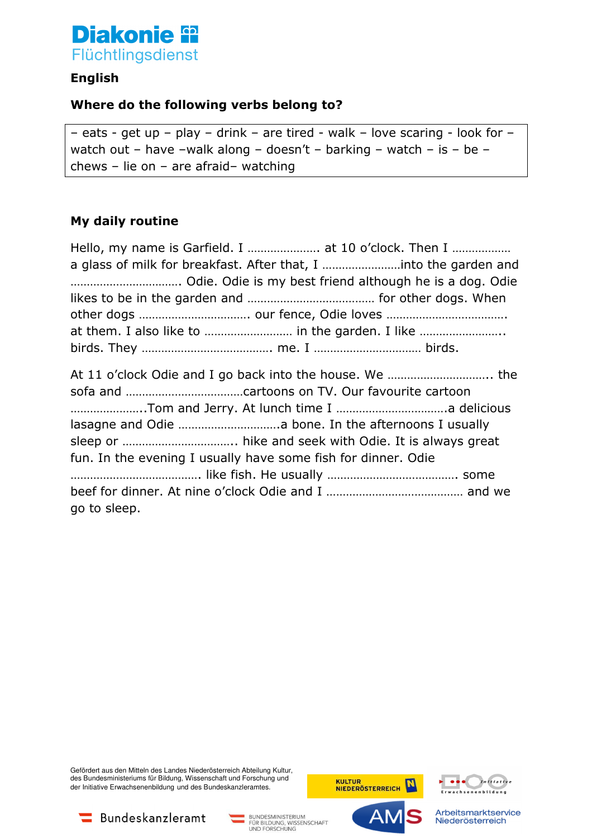

# **English**

## **Where do the following verbs belong to?**

– eats - get up – play – drink – are tired - walk – love scaring - look for – watch out – have –walk along – doesn't – barking – watch – is – be – chews – lie on – are afraid– watching

#### **My daily routine**

| Hello, my name is Garfield. I  at 10 o'clock. Then I          |
|---------------------------------------------------------------|
|                                                               |
|                                                               |
|                                                               |
|                                                               |
|                                                               |
|                                                               |
| fun. In the evening I usually have some fish for dinner. Odie |
|                                                               |
| go to sleep.                                                  |

Gefördert aus den Mitteln des Landes Niederösterreich Abteilung Kultur, des Bundesministeriums für Bildung, Wissenschaft und Forschung und der Initiative Erwachsenenbildung und des Bundeskanzleramtes.



AN



Bundeskanzleramt

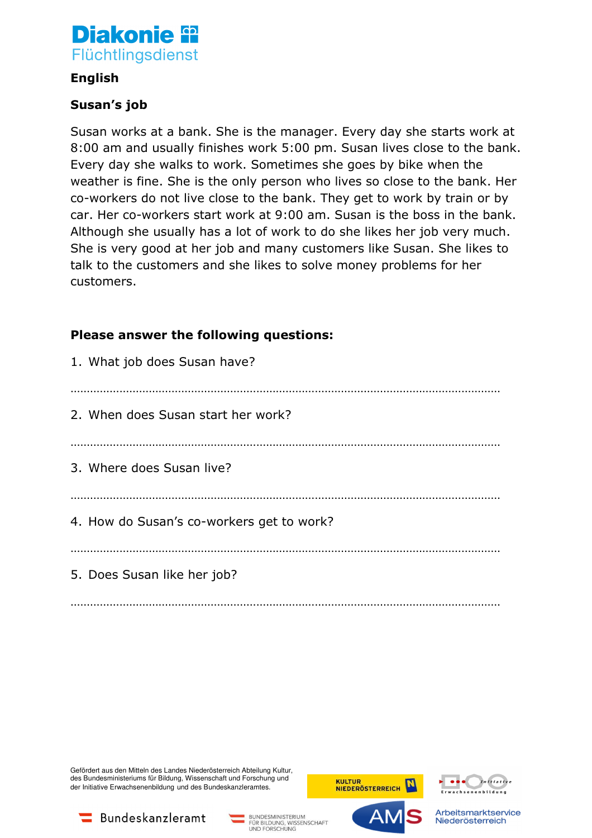

### **English**

## **Susan's job**

Susan works at a bank. She is the manager. Every day she starts work at 8:00 am and usually finishes work 5:00 pm. Susan lives close to the bank. Every day she walks to work. Sometimes she goes by bike when the weather is fine. She is the only person who lives so close to the bank. Her co-workers do not live close to the bank. They get to work by train or by car. Her co-workers start work at 9:00 am. Susan is the boss in the bank. Although she usually has a lot of work to do she likes her job very much. She is very good at her job and many customers like Susan. She likes to talk to the customers and she likes to solve money problems for her customers.

## **Please answer the following questions:**

| 1. What job does Susan have?              |
|-------------------------------------------|
| 2. When does Susan start her work?        |
| 3. Where does Susan live?                 |
| 4. How do Susan's co-workers get to work? |
| 5. Does Susan like her job?               |
|                                           |

Gefördert aus den Mitteln des Landes Niederösterreich Abteilung Kultur, des Bundesministeriums für Bildung, Wissenschaft und Forschung und der Initiative Erwachsenenbildung und des Bundeskanzleramtes.









FÜR BILDUNG, WISSENSCHAFT<br>UND FORSCHUNG



Arbeitsmarktservice Niederösterreich